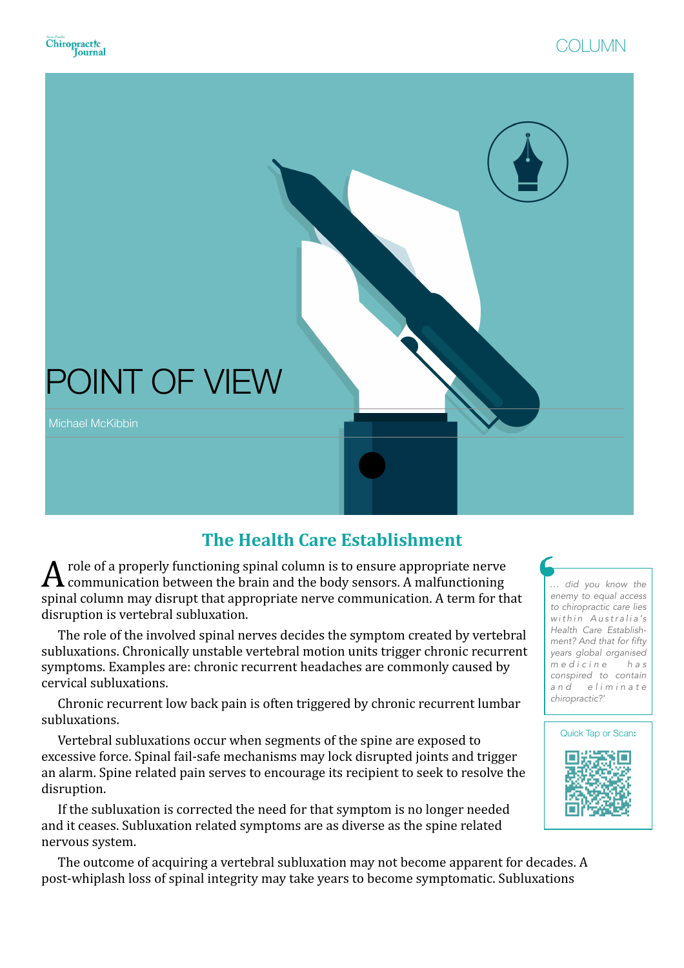

## **The Health Care Establishment**

 $\boldsymbol{A}$  role of a properly functioning spinal column is to ensure appropriate nerve communication between the brain and the body sensors. A malfunctioning spinal column may disrupt that appropriate nerve communication. A term for that disruption is vertebral subluxation.

The role of the involved spinal nerves decides the symptom created by vertebral subluxations. Chronically unstable vertebral motion units trigger chronic recurrent symptoms. Examples are: chronic recurrent headaches are commonly caused by cervical subluxations. 

Chronic recurrent low back pain is often triggered by chronic recurrent lumbar subluxations. 

Vertebral subluxations occur when segments of the spine are exposed to excessive force. Spinal fail-safe mechanisms may lock disrupted joints and trigger an alarm. Spine related pain serves to encourage its recipient to seek to resolve the disruption. 

If the subluxation is corrected the need for that symptom is no longer needed and it ceases. Subluxation related symptoms are as diverse as the spine related nervous system.

The outcome of acquiring a vertebral subluxation may not become apparent for decades. A post-whiplash loss of spinal integrity may take years to become symptomatic. Subluxations

*… did you know the enemy to equal access to chiropractic care lies*   $within$  Australia's *Health Care Establishment? And that for fifty years global organised m e d i c i n e h a s conspired to contain a n d e l i m i n a t e chiropractic?'*